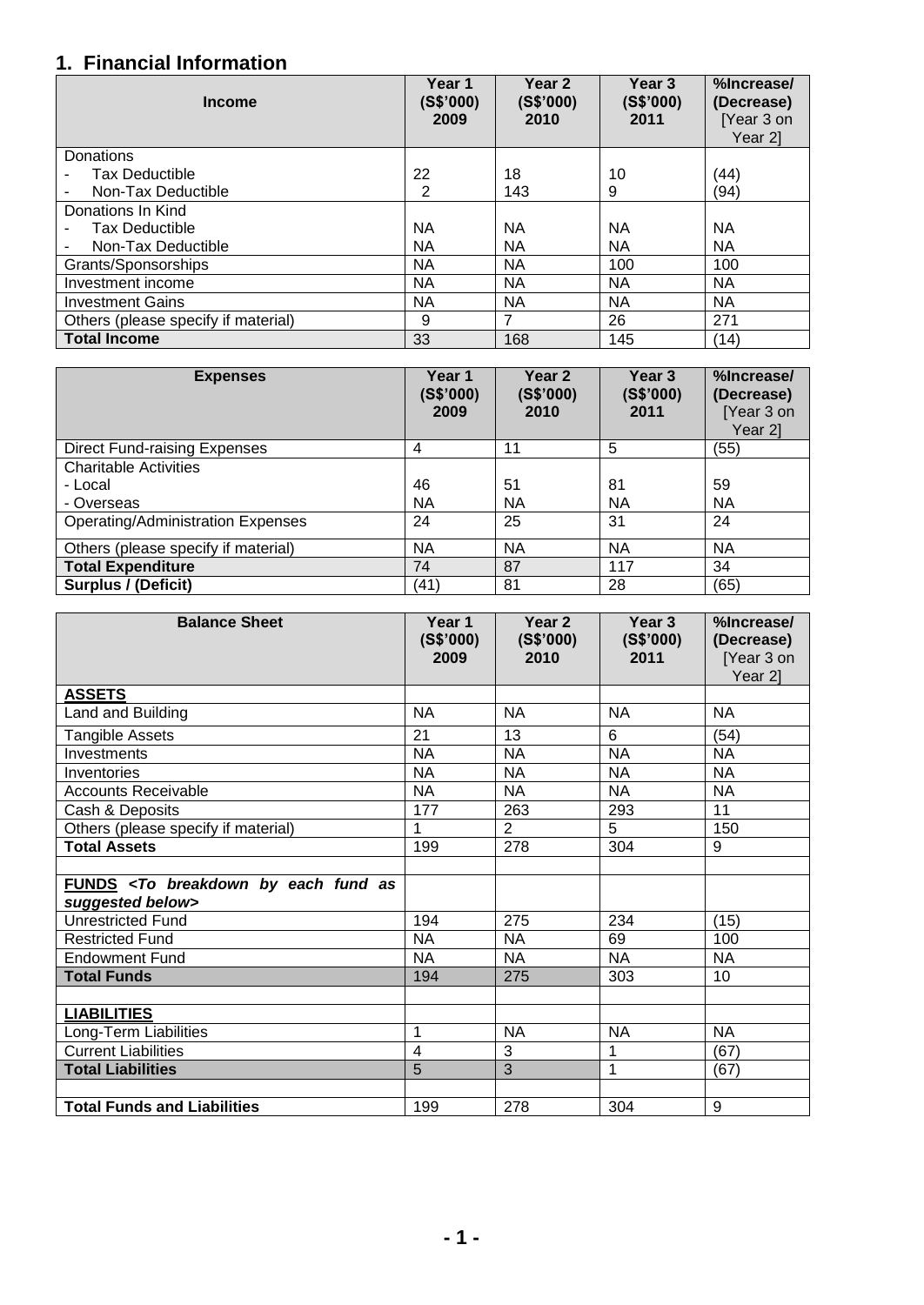## **1. Financial Information**

| <b>Income</b>                       | Year 1<br>(S\$'000)<br>2009 | Year <sub>2</sub><br>(S\$'000)<br>2010 | Year 3<br>(S\$'000)<br>2011 | %Increase/<br>(Decrease)<br>[Year 3 on<br>Year 21 |
|-------------------------------------|-----------------------------|----------------------------------------|-----------------------------|---------------------------------------------------|
| Donations                           |                             |                                        |                             |                                                   |
| <b>Tax Deductible</b>               | 22                          | 18                                     | 10                          | (44)                                              |
| Non-Tax Deductible                  | 2                           | 143                                    | 9                           | (94)                                              |
| Donations In Kind                   |                             |                                        |                             |                                                   |
| Tax Deductible                      | NА                          | NА                                     | <b>NA</b>                   | <b>NA</b>                                         |
| Non-Tax Deductible                  | <b>NA</b>                   | <b>NA</b>                              | <b>NA</b>                   | <b>NA</b>                                         |
| Grants/Sponsorships                 | <b>NA</b>                   | <b>NA</b>                              | 100                         | 100                                               |
| Investment income                   | <b>NA</b>                   | <b>NA</b>                              | <b>NA</b>                   | <b>NA</b>                                         |
| <b>Investment Gains</b>             | <b>NA</b>                   | <b>NA</b>                              | <b>NA</b>                   | <b>NA</b>                                         |
| Others (please specify if material) | 9                           | 7                                      | 26                          | 271                                               |
| <b>Total Income</b>                 | 33                          | 168                                    | 145                         | (14)                                              |

| <b>Expenses</b>                          | Year 1<br>(S\$'000)<br>2009 | Year 2<br>(S\$'000)<br>2010 | Year 3<br>(S\$'000)<br>2011 | %Increase/<br>(Decrease)<br>[Year 3 on<br>Year 21 |
|------------------------------------------|-----------------------------|-----------------------------|-----------------------------|---------------------------------------------------|
| <b>Direct Fund-raising Expenses</b>      | 4                           | 11                          | 5                           | (55)                                              |
| <b>Charitable Activities</b>             |                             |                             |                             |                                                   |
| - Local                                  | 46                          | 51                          | 81                          | 59                                                |
| - Overseas                               | NA                          | NA                          | <b>NA</b>                   | <b>NA</b>                                         |
| <b>Operating/Administration Expenses</b> | 24                          | 25                          | 31                          | 24                                                |
| Others (please specify if material)      | ΝA                          | <b>NA</b>                   | NА                          | <b>NA</b>                                         |
| <b>Total Expenditure</b>                 | 74                          | 87                          | 117                         | 34                                                |
| <b>Surplus / (Deficit)</b>               | (41)                        | 81                          | 28                          | (65)                                              |

| <b>Balance Sheet</b>                                                           | Year 1<br>(S\$'000)<br>2009 | Year 2<br>(S\$'000)<br>2010 | Year 3<br>(S\$'000)<br>2011 | %Increase/<br>(Decrease)<br>[Year 3 on<br>Year 2] |
|--------------------------------------------------------------------------------|-----------------------------|-----------------------------|-----------------------------|---------------------------------------------------|
| <b>ASSETS</b>                                                                  |                             |                             |                             |                                                   |
| Land and Building                                                              | <b>NA</b>                   | <b>NA</b>                   | <b>NA</b>                   | <b>NA</b>                                         |
| Tangible Assets                                                                | 21                          | 13                          | 6                           | (54)                                              |
| Investments                                                                    | <b>NA</b>                   | <b>NA</b>                   | <b>NA</b>                   | <b>NA</b>                                         |
| Inventories                                                                    | <b>NA</b>                   | <b>NA</b>                   | <b>NA</b>                   | <b>NA</b>                                         |
| <b>Accounts Receivable</b>                                                     | <b>NA</b>                   | <b>NA</b>                   | <b>NA</b>                   | <b>NA</b>                                         |
| Cash & Deposits                                                                | 177                         | 263                         | 293                         | 11                                                |
| Others (please specify if material)                                            | 1                           | $\overline{2}$              | 5                           | 150                                               |
| <b>Total Assets</b>                                                            | 199                         | 278                         | 304                         | 9                                                 |
|                                                                                |                             |                             |                             |                                                   |
| FUNDS <to as<br="" breakdown="" by="" each="" fund="">suggested below&gt;</to> |                             |                             |                             |                                                   |
| <b>Unrestricted Fund</b>                                                       | 194                         | 275                         | 234                         | (15)                                              |
| <b>Restricted Fund</b>                                                         | <b>NA</b>                   | <b>NA</b>                   | 69                          | 100                                               |
| <b>Endowment Fund</b>                                                          | <b>NA</b>                   | <b>NA</b>                   | <b>NA</b>                   | <b>NA</b>                                         |
| <b>Total Funds</b>                                                             | 194                         | 275                         | 303                         | 10                                                |
|                                                                                |                             |                             |                             |                                                   |
| <b>LIABILITIES</b>                                                             |                             |                             |                             |                                                   |
| Long-Term Liabilities                                                          | 1                           | <b>NA</b>                   | <b>NA</b>                   | <b>NA</b>                                         |
| <b>Current Liabilities</b>                                                     | $\overline{4}$              | 3                           | 1                           | (67)                                              |
| <b>Total Liabilities</b>                                                       | 5                           | 3                           | 1                           | (67)                                              |
|                                                                                |                             |                             |                             |                                                   |
| <b>Total Funds and Liabilities</b>                                             | 199                         | 278                         | 304                         | 9                                                 |